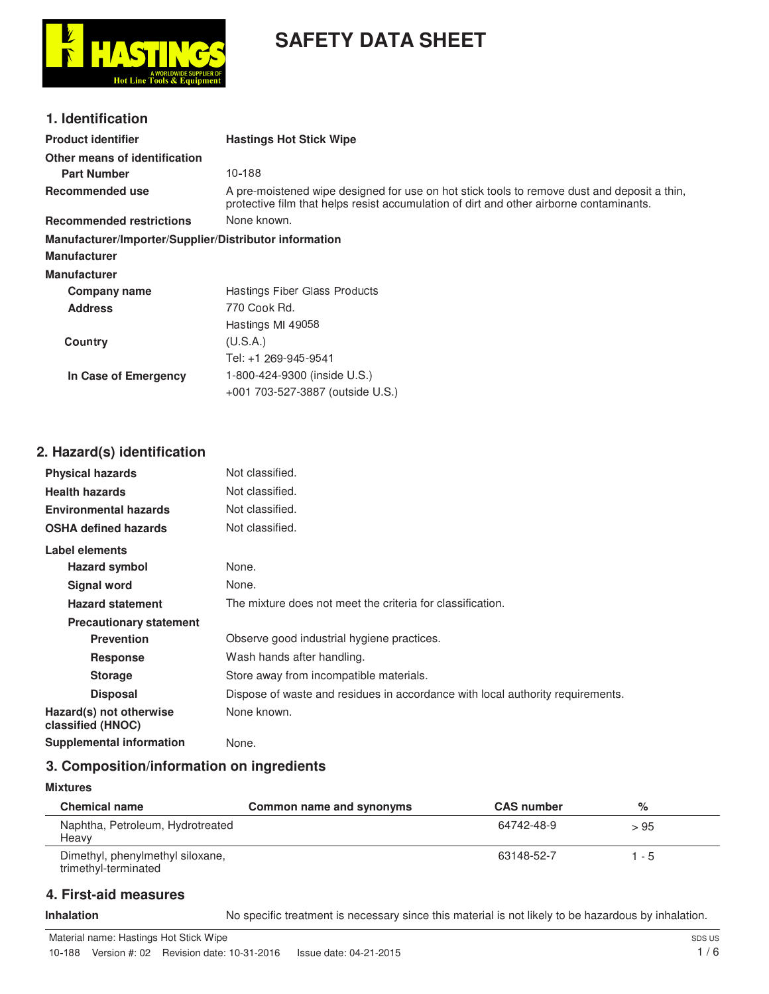

# **SAFETY DATA SHEET**

## **1. Identification**

| <b>Product identifier</b>                              | <b>Hastings Hot Stick Wipe</b>                                                                                                                                                         |
|--------------------------------------------------------|----------------------------------------------------------------------------------------------------------------------------------------------------------------------------------------|
| Other means of identification                          |                                                                                                                                                                                        |
| <b>Part Number</b>                                     | 10-188                                                                                                                                                                                 |
| Recommended use                                        | A pre-moistened wipe designed for use on hot stick tools to remove dust and deposit a thin,<br>protective film that helps resist accumulation of dirt and other airborne contaminants. |
| <b>Recommended restrictions</b>                        | None known.                                                                                                                                                                            |
| Manufacturer/Importer/Supplier/Distributor information |                                                                                                                                                                                        |
| Manufacturer                                           |                                                                                                                                                                                        |
| Manufacturer                                           |                                                                                                                                                                                        |
| Company name                                           | Hastings Fiber Glass Products                                                                                                                                                          |
| <b>Address</b>                                         | 770 Cook Rd.                                                                                                                                                                           |
|                                                        | Hastings MI 49058                                                                                                                                                                      |
| Country                                                | (U.S.A.)                                                                                                                                                                               |
|                                                        | Tel: +1 269-945-9541                                                                                                                                                                   |
| In Case of Emergency                                   | 1-800-424-9300 (inside U.S.)                                                                                                                                                           |
|                                                        | +001 703-527-3887 (outside U.S.)                                                                                                                                                       |
|                                                        |                                                                                                                                                                                        |
|                                                        |                                                                                                                                                                                        |

## **2. Hazard(s) identification**

| <b>Physical hazards</b>                      | Not classified.                                                                |
|----------------------------------------------|--------------------------------------------------------------------------------|
| <b>Health hazards</b>                        | Not classified.                                                                |
| <b>Environmental hazards</b>                 | Not classified.                                                                |
| <b>OSHA defined hazards</b>                  | Not classified.                                                                |
| Label elements                               |                                                                                |
| <b>Hazard symbol</b>                         | None.                                                                          |
| <b>Signal word</b>                           | None.                                                                          |
| <b>Hazard statement</b>                      | The mixture does not meet the criteria for classification.                     |
| <b>Precautionary statement</b>               |                                                                                |
| <b>Prevention</b>                            | Observe good industrial hygiene practices.                                     |
| <b>Response</b>                              | Wash hands after handling.                                                     |
| <b>Storage</b>                               | Store away from incompatible materials.                                        |
| <b>Disposal</b>                              | Dispose of waste and residues in accordance with local authority requirements. |
| Hazard(s) not otherwise<br>classified (HNOC) | None known.                                                                    |
| <b>Supplemental information</b>              | None.                                                                          |

## **3. Composition/information on ingredients**

**Mixtures**

| <b>Chemical name</b>                                     | Common name and synonyms | <b>CAS number</b> | %     |  |
|----------------------------------------------------------|--------------------------|-------------------|-------|--|
| Naphtha, Petroleum, Hydrotreated<br>Heavy                |                          | 64742-48-9        | > 95  |  |
| Dimethyl, phenylmethyl siloxane,<br>trimethyl-terminated |                          | 63148-52-7        | 1 - 5 |  |

## **4. First-aid measures**

Inhalation **Inhalation** No specific treatment is necessary since this material is not likely to be hazardous by inhalation.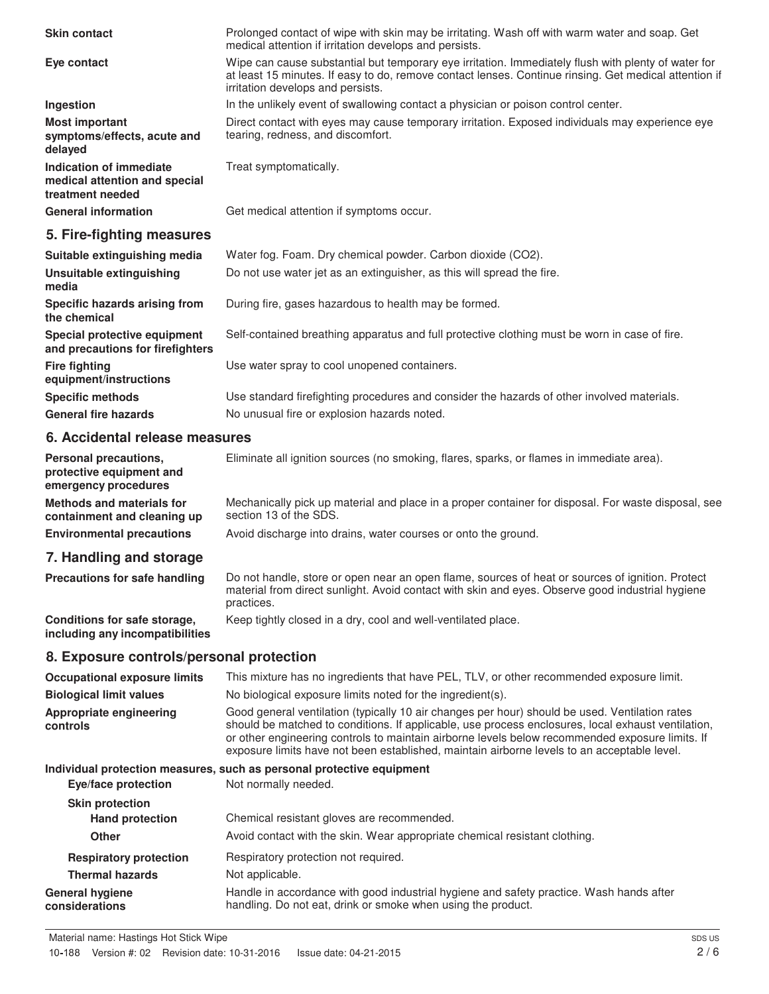| <b>Skin contact</b>                                                          | Prolonged contact of wipe with skin may be irritating. Wash off with warm water and soap. Get<br>medical attention if irritation develops and persists.                                                                                                                                                                                                                                                |
|------------------------------------------------------------------------------|--------------------------------------------------------------------------------------------------------------------------------------------------------------------------------------------------------------------------------------------------------------------------------------------------------------------------------------------------------------------------------------------------------|
| Eye contact                                                                  | Wipe can cause substantial but temporary eye irritation. Immediately flush with plenty of water for<br>at least 15 minutes. If easy to do, remove contact lenses. Continue rinsing. Get medical attention if<br>irritation develops and persists.                                                                                                                                                      |
| Ingestion                                                                    | In the unlikely event of swallowing contact a physician or poison control center.                                                                                                                                                                                                                                                                                                                      |
| <b>Most important</b><br>symptoms/effects, acute and<br>delayed              | Direct contact with eyes may cause temporary irritation. Exposed individuals may experience eye<br>tearing, redness, and discomfort.                                                                                                                                                                                                                                                                   |
| Indication of immediate<br>medical attention and special<br>treatment needed | Treat symptomatically.                                                                                                                                                                                                                                                                                                                                                                                 |
| <b>General information</b>                                                   | Get medical attention if symptoms occur.                                                                                                                                                                                                                                                                                                                                                               |
| 5. Fire-fighting measures                                                    |                                                                                                                                                                                                                                                                                                                                                                                                        |
| Suitable extinguishing media                                                 | Water fog. Foam. Dry chemical powder. Carbon dioxide (CO2).                                                                                                                                                                                                                                                                                                                                            |
| <b>Unsuitable extinguishing</b><br>media                                     | Do not use water jet as an extinguisher, as this will spread the fire.                                                                                                                                                                                                                                                                                                                                 |
| Specific hazards arising from<br>the chemical                                | During fire, gases hazardous to health may be formed.                                                                                                                                                                                                                                                                                                                                                  |
| Special protective equipment<br>and precautions for firefighters             | Self-contained breathing apparatus and full protective clothing must be worn in case of fire.                                                                                                                                                                                                                                                                                                          |
| <b>Fire fighting</b><br>equipment/instructions                               | Use water spray to cool unopened containers.                                                                                                                                                                                                                                                                                                                                                           |
| <b>Specific methods</b>                                                      | Use standard firefighting procedures and consider the hazards of other involved materials.                                                                                                                                                                                                                                                                                                             |
| <b>General fire hazards</b>                                                  | No unusual fire or explosion hazards noted.                                                                                                                                                                                                                                                                                                                                                            |
| 6. Accidental release measures                                               |                                                                                                                                                                                                                                                                                                                                                                                                        |
| Personal precautions,<br>protective equipment and<br>emergency procedures    | Eliminate all ignition sources (no smoking, flares, sparks, or flames in immediate area).                                                                                                                                                                                                                                                                                                              |
| <b>Methods and materials for</b><br>containment and cleaning up              | Mechanically pick up material and place in a proper container for disposal. For waste disposal, see<br>section 13 of the SDS.                                                                                                                                                                                                                                                                          |
| <b>Environmental precautions</b>                                             | Avoid discharge into drains, water courses or onto the ground.                                                                                                                                                                                                                                                                                                                                         |
| 7. Handling and storage                                                      |                                                                                                                                                                                                                                                                                                                                                                                                        |
| <b>Precautions for safe handling</b>                                         | Do not handle, store or open near an open flame, sources of heat or sources of ignition. Protect<br>material from direct sunlight. Avoid contact with skin and eyes. Observe good industrial hygiene<br>practices.                                                                                                                                                                                     |
| Conditions for safe storage,<br>including any incompatibilities              | Keep tightly closed in a dry, cool and well-ventilated place.                                                                                                                                                                                                                                                                                                                                          |
| 8. Exposure controls/personal protection                                     |                                                                                                                                                                                                                                                                                                                                                                                                        |
| <b>Occupational exposure limits</b>                                          | This mixture has no ingredients that have PEL, TLV, or other recommended exposure limit.                                                                                                                                                                                                                                                                                                               |
| <b>Biological limit values</b>                                               | No biological exposure limits noted for the ingredient(s).                                                                                                                                                                                                                                                                                                                                             |
| Appropriate engineering<br>controls                                          | Good general ventilation (typically 10 air changes per hour) should be used. Ventilation rates<br>should be matched to conditions. If applicable, use process enclosures, local exhaust ventilation,<br>or other engineering controls to maintain airborne levels below recommended exposure limits. If<br>exposure limits have not been established, maintain airborne levels to an acceptable level. |
| Eye/face protection                                                          | Individual protection measures, such as personal protective equipment<br>Not normally needed.                                                                                                                                                                                                                                                                                                          |

| <b>Skin protection</b>                   |                                                                                                                                                         |
|------------------------------------------|---------------------------------------------------------------------------------------------------------------------------------------------------------|
| <b>Hand protection</b>                   | Chemical resistant gloves are recommended.                                                                                                              |
| <b>Other</b>                             | Avoid contact with the skin. Wear appropriate chemical resistant clothing.                                                                              |
| <b>Respiratory protection</b>            | Respiratory protection not required.                                                                                                                    |
| <b>Thermal hazards</b>                   | Not applicable.                                                                                                                                         |
| <b>General hygiene</b><br>considerations | Handle in accordance with good industrial hygiene and safety practice. Wash hands after<br>handling. Do not eat, drink or smoke when using the product. |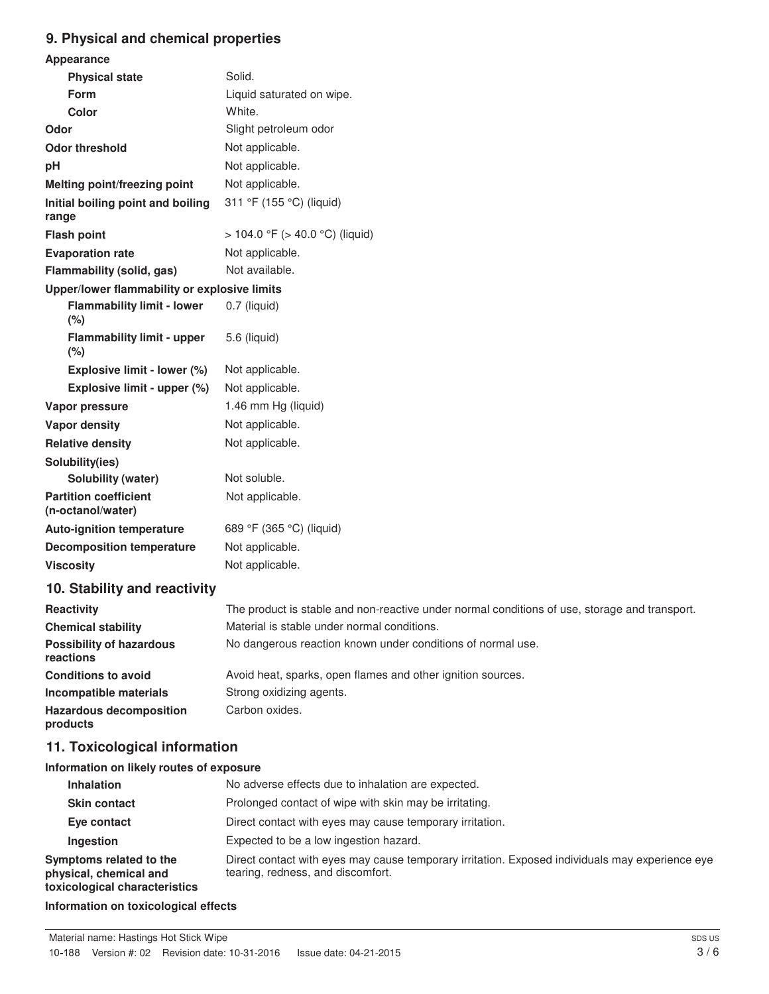## **9. Physical and chemical properties**

| Appearance                                        |                                                                                               |
|---------------------------------------------------|-----------------------------------------------------------------------------------------------|
| <b>Physical state</b>                             | Solid.                                                                                        |
| Form                                              | Liquid saturated on wipe.                                                                     |
| <b>Color</b>                                      | White.                                                                                        |
| Odor                                              | Slight petroleum odor                                                                         |
| <b>Odor threshold</b>                             | Not applicable.                                                                               |
| pH                                                | Not applicable.                                                                               |
| Melting point/freezing point                      | Not applicable.                                                                               |
| Initial boiling point and boiling<br>range        | 311 °F (155 °C) (liquid)                                                                      |
| <b>Flash point</b>                                | $> 104.0$ °F ( $> 40.0$ °C) (liquid)                                                          |
| <b>Evaporation rate</b>                           | Not applicable.                                                                               |
| Flammability (solid, gas)                         | Not available.                                                                                |
| Upper/lower flammability or explosive limits      |                                                                                               |
| <b>Flammability limit - lower</b><br>(%)          | 0.7 (liquid)                                                                                  |
| <b>Flammability limit - upper</b><br>(%)          | 5.6 (liquid)                                                                                  |
| Explosive limit - lower (%)                       | Not applicable.                                                                               |
| Explosive limit - upper (%)                       | Not applicable.                                                                               |
| Vapor pressure                                    | 1.46 mm Hg (liquid)                                                                           |
| <b>Vapor density</b>                              | Not applicable.                                                                               |
| <b>Relative density</b>                           | Not applicable.                                                                               |
| Solubility(ies)                                   |                                                                                               |
| <b>Solubility (water)</b>                         | Not soluble.                                                                                  |
| <b>Partition coefficient</b><br>(n-octanol/water) | Not applicable.                                                                               |
| <b>Auto-ignition temperature</b>                  | 689 °F (365 °C) (liquid)                                                                      |
| <b>Decomposition temperature</b>                  | Not applicable.                                                                               |
| <b>Viscosity</b>                                  | Not applicable.                                                                               |
| 10. Stability and reactivity                      |                                                                                               |
| <b>Reactivity</b>                                 | The product is stable and non-reactive under normal conditions of use, storage and transport. |
| <b>Chemical stability</b>                         | Material is stable under normal conditions.                                                   |
| <b>Possibility of hazardous</b><br>reactions      | No dangerous reaction known under conditions of normal use.                                   |
| <b>Conditions to avoid</b>                        | Avoid heat, sparks, open flames and other ignition sources.                                   |
| Incompatible materials                            | Strong oxidizing agents.                                                                      |
| <b>Hazardous decomposition</b>                    | Carbon oxides.                                                                                |

**products**

## **11. Toxicological information**

#### **Information on likely routes of exposure**

| <b>Inhalation</b>                                                                  | No adverse effects due to inhalation are expected.                                                                                   |
|------------------------------------------------------------------------------------|--------------------------------------------------------------------------------------------------------------------------------------|
| <b>Skin contact</b>                                                                | Prolonged contact of wipe with skin may be irritating.                                                                               |
| Eye contact                                                                        | Direct contact with eyes may cause temporary irritation.                                                                             |
| Ingestion                                                                          | Expected to be a low ingestion hazard.                                                                                               |
| Symptoms related to the<br>physical, chemical and<br>toxicological characteristics | Direct contact with eyes may cause temporary irritation. Exposed individuals may experience eye<br>tearing, redness, and discomfort. |

**Information on toxicological effects**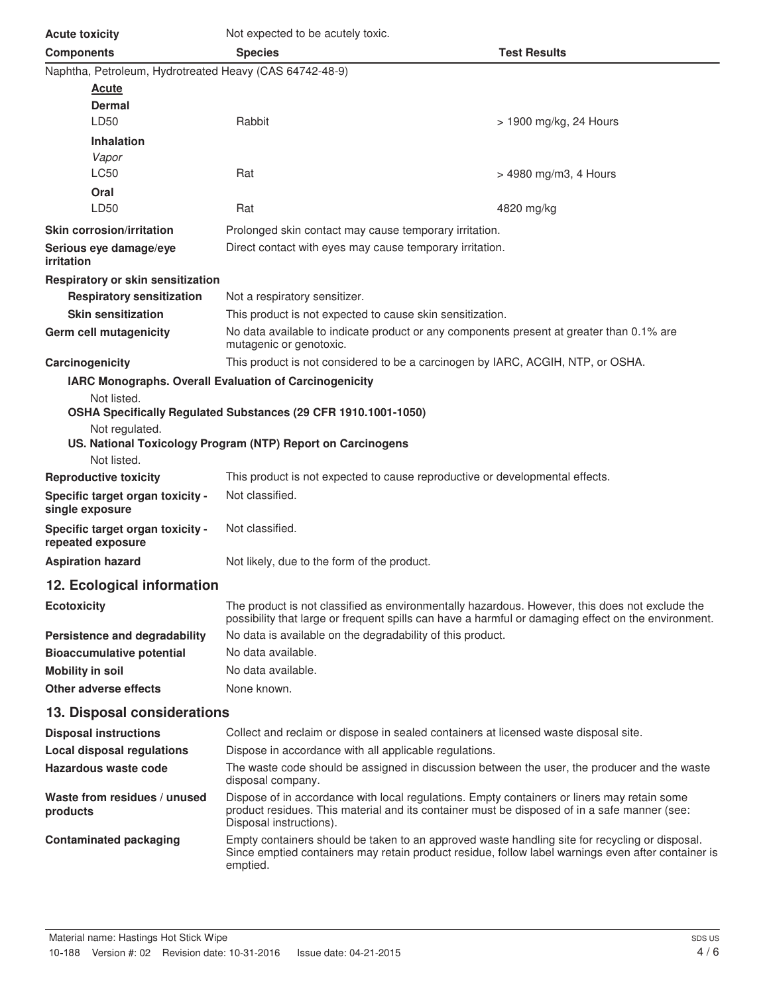| <b>Acute toxicity</b>                                   | Not expected to be acutely toxic.                                                                                                                                                                                      |                        |
|---------------------------------------------------------|------------------------------------------------------------------------------------------------------------------------------------------------------------------------------------------------------------------------|------------------------|
| <b>Components</b>                                       | <b>Species</b>                                                                                                                                                                                                         | <b>Test Results</b>    |
| Naphtha, Petroleum, Hydrotreated Heavy (CAS 64742-48-9) |                                                                                                                                                                                                                        |                        |
| <b>Acute</b>                                            |                                                                                                                                                                                                                        |                        |
| Dermal                                                  |                                                                                                                                                                                                                        |                        |
| LD50                                                    | Rabbit                                                                                                                                                                                                                 | > 1900 mg/kg, 24 Hours |
| <b>Inhalation</b>                                       |                                                                                                                                                                                                                        |                        |
| Vapor<br><b>LC50</b>                                    | Rat                                                                                                                                                                                                                    |                        |
| Oral                                                    |                                                                                                                                                                                                                        | > 4980 mg/m3, 4 Hours  |
| LD50                                                    | Rat                                                                                                                                                                                                                    | 4820 mg/kg             |
| <b>Skin corrosion/irritation</b>                        | Prolonged skin contact may cause temporary irritation.                                                                                                                                                                 |                        |
| Serious eye damage/eye                                  | Direct contact with eyes may cause temporary irritation.                                                                                                                                                               |                        |
| irritation                                              |                                                                                                                                                                                                                        |                        |
| Respiratory or skin sensitization                       |                                                                                                                                                                                                                        |                        |
| <b>Respiratory sensitization</b>                        | Not a respiratory sensitizer.                                                                                                                                                                                          |                        |
| <b>Skin sensitization</b>                               | This product is not expected to cause skin sensitization.                                                                                                                                                              |                        |
| Germ cell mutagenicity                                  | No data available to indicate product or any components present at greater than 0.1% are<br>mutagenic or genotoxic.                                                                                                    |                        |
| Carcinogenicity                                         | This product is not considered to be a carcinogen by IARC, ACGIH, NTP, or OSHA.                                                                                                                                        |                        |
|                                                         | IARC Monographs. Overall Evaluation of Carcinogenicity                                                                                                                                                                 |                        |
| Not listed.                                             |                                                                                                                                                                                                                        |                        |
|                                                         | OSHA Specifically Regulated Substances (29 CFR 1910.1001-1050)                                                                                                                                                         |                        |
| Not regulated.                                          | US. National Toxicology Program (NTP) Report on Carcinogens                                                                                                                                                            |                        |
| Not listed.                                             |                                                                                                                                                                                                                        |                        |
| <b>Reproductive toxicity</b>                            | This product is not expected to cause reproductive or developmental effects.                                                                                                                                           |                        |
| Specific target organ toxicity -<br>single exposure     | Not classified.                                                                                                                                                                                                        |                        |
| Specific target organ toxicity -<br>repeated exposure   | Not classified.                                                                                                                                                                                                        |                        |
| <b>Aspiration hazard</b>                                | Not likely, due to the form of the product.                                                                                                                                                                            |                        |
| 12. Ecological information                              |                                                                                                                                                                                                                        |                        |
| <b>Ecotoxicity</b>                                      | The product is not classified as environmentally hazardous. However, this does not exclude the<br>possibility that large or frequent spills can have a harmful or damaging effect on the environment.                  |                        |
| Persistence and degradability                           | No data is available on the degradability of this product.                                                                                                                                                             |                        |
| <b>Bioaccumulative potential</b>                        | No data available.                                                                                                                                                                                                     |                        |
| <b>Mobility in soil</b>                                 | No data available.                                                                                                                                                                                                     |                        |
| Other adverse effects                                   | None known.                                                                                                                                                                                                            |                        |
| 13. Disposal considerations                             |                                                                                                                                                                                                                        |                        |
| <b>Disposal instructions</b>                            | Collect and reclaim or dispose in sealed containers at licensed waste disposal site.                                                                                                                                   |                        |
| <b>Local disposal regulations</b>                       | Dispose in accordance with all applicable regulations.                                                                                                                                                                 |                        |
| Hazardous waste code                                    | The waste code should be assigned in discussion between the user, the producer and the waste<br>disposal company.                                                                                                      |                        |
| Waste from residues / unused<br>products                | Dispose of in accordance with local regulations. Empty containers or liners may retain some<br>product residues. This material and its container must be disposed of in a safe manner (see:<br>Disposal instructions). |                        |
| <b>Contaminated packaging</b>                           | Empty containers should be taken to an approved waste handling site for recycling or disposal.<br>Since emptied containers may retain product residue, follow label warnings even after container is<br>emptied.       |                        |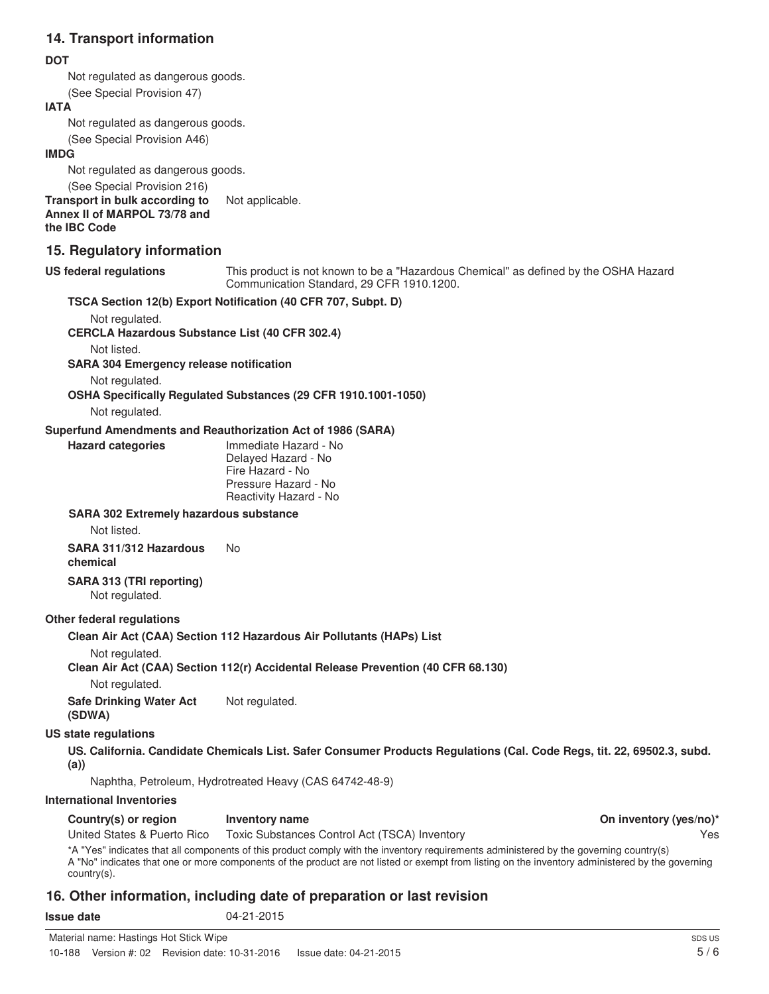#### **14. Transport information**

#### **DOT**

Not regulated as dangerous goods.

(See Special Provision 47)

#### **IATA**

Not regulated as dangerous goods.

(See Special Provision A46)

#### **IMDG**

Not regulated as dangerous goods. (See Special Provision 216)

**Transport in bulk according to** Not applicable. **Annex II of MARPOL 73/78 and**

**the IBC Code**

#### **15. Regulatory information**

#### **US federal regulations**

This product is not known to be a "Hazardous Chemical" as defined by the OSHA Hazard Communication Standard, 29 CFR 1910.1200.

## **TSCA Section 12(b) Export Notification (40 CFR 707, Subpt. D)** Not regulated.

**CERCLA Hazardous Substance List (40 CFR 302.4)**

Not listed.

**SARA 304 Emergency release notification**

Not regulated.

**OSHA Specifically Regulated Substances (29 CFR 1910.1001-1050)**

Not regulated.

**Hazard categories**

#### **Superfund Amendments and Reauthorization Act of 1986 (SARA)**

| Immediate Hazard - No  |
|------------------------|
| Delayed Hazard - No    |
| Fire Hazard - No       |
| Pressure Hazard - No   |
| Reactivity Hazard - No |
|                        |

#### **SARA 302 Extremely hazardous substance**

Not listed.

**SARA 311/312 Hazardous** No **chemical**

#### **SARA 313 (TRI reporting)** Not regulated.

#### **Other federal regulations**

**Clean Air Act (CAA) Section 112 Hazardous Air Pollutants (HAPs) List**

Not regulated.

#### **Clean Air Act (CAA) Section 112(r) Accidental Release Prevention (40 CFR 68.130)**

Not regulated.

**Safe Drinking Water Act** Not regulated. **(SDWA)**

#### **US state regulations**

**US. California. Candidate Chemicals List. Safer Consumer Products Regulations (Cal. Code Regs, tit. 22, 69502.3, subd. (a))**

Naphtha, Petroleum, Hydrotreated Heavy (CAS 64742-48-9)

#### **International Inventories**

| Country(s) or region | Inventory name |
|----------------------|----------------|
|----------------------|----------------|

United States & Puerto Rico Toxic Substances Control Act (TSCA) Inventory Yes

\*A "Yes" indicates that all components of this product comply with the inventory requirements administered by the governing country(s) A "No" indicates that one or more components of the product are not listed or exempt from listing on the inventory administered by the governing country(s).

### **16. Other information, including date of preparation or last revision**

**Compare Continue Continue Continue Continue in Property**